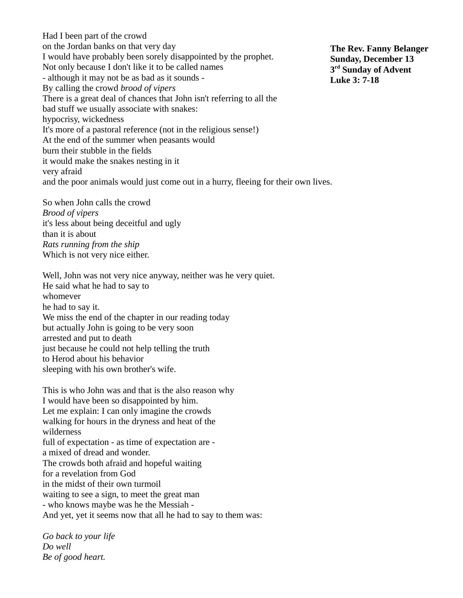Had I been part of the crowd on the Jordan banks on that very day I would have probably been sorely disappointed by the prophet. Not only because I don't like it to be called names - although it may not be as bad as it sounds - By calling the crowd *brood of vipers* There is a great deal of chances that John isn't referring to all the bad stuff we usually associate with snakes: hypocrisy, wickedness It's more of a pastoral reference (not in the religious sense!) At the end of the summer when peasants would burn their stubble in the fields it would make the snakes nesting in it very afraid and the poor animals would just come out in a hurry, fleeing for their own lives.

So when John calls the crowd *Brood of vipers*  it's less about being deceitful and ugly than it is about *Rats running from the ship* Which is not very nice either.

Well, John was not very nice anyway, neither was he very quiet. He said what he had to say to whomever he had to say it. We miss the end of the chapter in our reading today but actually John is going to be very soon arrested and put to death just because he could not help telling the truth to Herod about his behavior sleeping with his own brother's wife.

This is who John was and that is the also reason why I would have been so disappointed by him. Let me explain: I can only imagine the crowds walking for hours in the dryness and heat of the wilderness full of expectation - as time of expectation are a mixed of dread and wonder. The crowds both afraid and hopeful waiting for a revelation from God in the midst of their own turmoil waiting to see a sign, to meet the great man - who knows maybe was he the Messiah - And yet, yet it seems now that all he had to say to them was:

*Go back to your life Do well Be of good heart.*

**The Rev. Fanny Belanger Sunday, December 13 3 rd Sunday of Advent Luke 3: 7-18**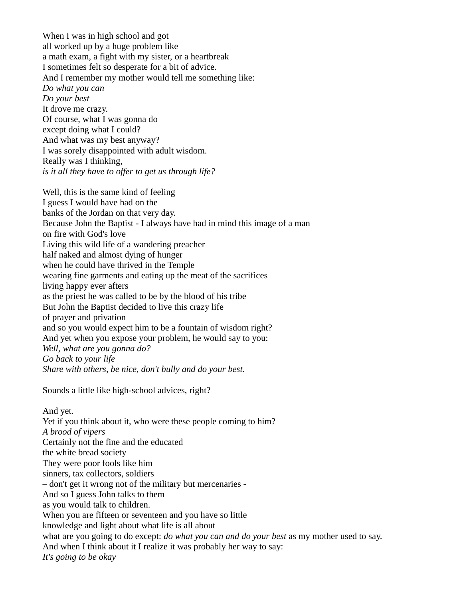When I was in high school and got all worked up by a huge problem like a math exam, a fight with my sister, or a heartbreak I sometimes felt so desperate for a bit of advice. And I remember my mother would tell me something like: *Do what you can Do your best* It drove me crazy. Of course, what I was gonna do except doing what I could? And what was my best anyway? I was sorely disappointed with adult wisdom. Really was I thinking, *is it all they have to offer to get us through life?*

Well, this is the same kind of feeling I guess I would have had on the banks of the Jordan on that very day. Because John the Baptist - I always have had in mind this image of a man on fire with God's love Living this wild life of a wandering preacher half naked and almost dying of hunger when he could have thrived in the Temple wearing fine garments and eating up the meat of the sacrifices living happy ever afters as the priest he was called to be by the blood of his tribe But John the Baptist decided to live this crazy life of prayer and privation and so you would expect him to be a fountain of wisdom right? And yet when you expose your problem, he would say to you: *Well, what are you gonna do? Go back to your life Share with others, be nice, don't bully and do your best.*

Sounds a little like high-school advices, right?

And yet. Yet if you think about it, who were these people coming to him? *A brood of vipers* Certainly not the fine and the educated the white bread society They were poor fools like him sinners, tax collectors, soldiers – don't get it wrong not of the military but mercenaries - And so I guess John talks to them as you would talk to children. When you are fifteen or seventeen and you have so little knowledge and light about what life is all about what are you going to do except: *do what you can and do your best* as my mother used to say. And when I think about it I realize it was probably her way to say: *It's going to be okay*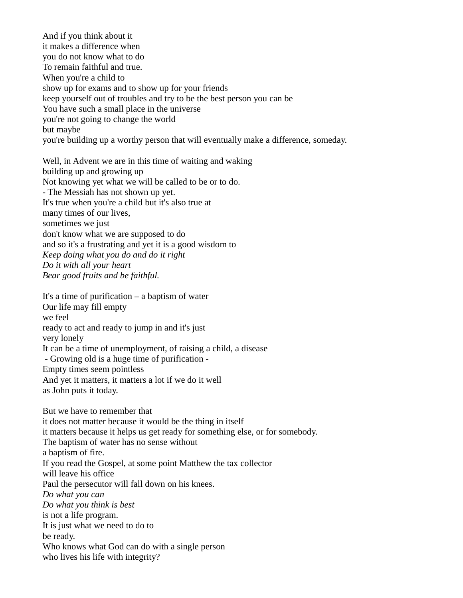And if you think about it it makes a difference when you do not know what to do To remain faithful and true. When you're a child to show up for exams and to show up for your friends keep yourself out of troubles and try to be the best person you can be You have such a small place in the universe you're not going to change the world but maybe you're building up a worthy person that will eventually make a difference, someday.

Well, in Advent we are in this time of waiting and waking building up and growing up Not knowing yet what we will be called to be or to do. - The Messiah has not shown up yet. It's true when you're a child but it's also true at many times of our lives, sometimes we just don't know what we are supposed to do and so it's a frustrating and yet it is a good wisdom to *Keep doing what you do and do it right Do it with all your heart Bear good fruits and be faithful.*

It's a time of purification – a baptism of water Our life may fill empty we feel ready to act and ready to jump in and it's just very lonely It can be a time of unemployment, of raising a child, a disease - Growing old is a huge time of purification - Empty times seem pointless And yet it matters, it matters a lot if we do it well as John puts it today.

But we have to remember that it does not matter because it would be the thing in itself it matters because it helps us get ready for something else, or for somebody. The baptism of water has no sense without a baptism of fire. If you read the Gospel, at some point Matthew the tax collector will leave his office Paul the persecutor will fall down on his knees. *Do what you can Do what you think is best* is not a life program. It is just what we need to do to be ready. Who knows what God can do with a single person who lives his life with integrity?